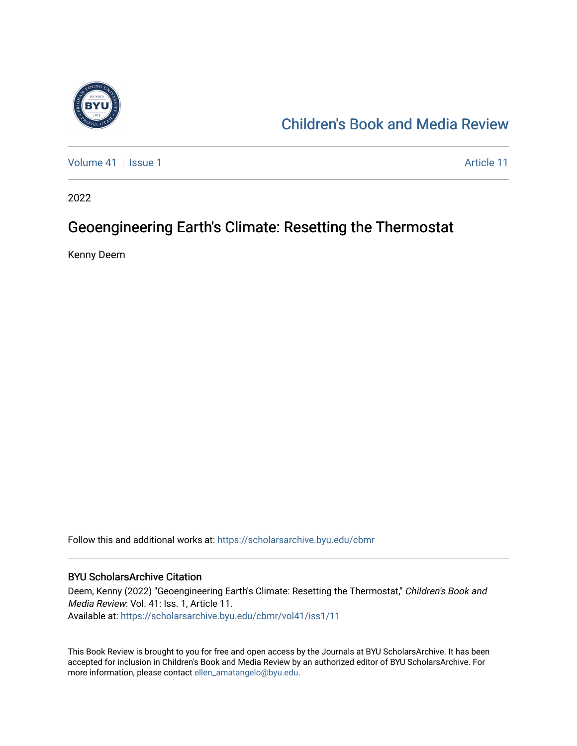

#### [Children's Book and Media Review](https://scholarsarchive.byu.edu/cbmr)

[Volume 41](https://scholarsarchive.byu.edu/cbmr/vol41) | [Issue 1](https://scholarsarchive.byu.edu/cbmr/vol41/iss1) Article 11

2022

### Geoengineering Earth's Climate: Resetting the Thermostat

Kenny Deem

Follow this and additional works at: [https://scholarsarchive.byu.edu/cbmr](https://scholarsarchive.byu.edu/cbmr?utm_source=scholarsarchive.byu.edu%2Fcbmr%2Fvol41%2Fiss1%2F11&utm_medium=PDF&utm_campaign=PDFCoverPages) 

#### BYU ScholarsArchive Citation

Deem, Kenny (2022) "Geoengineering Earth's Climate: Resetting the Thermostat," Children's Book and Media Review: Vol. 41: Iss. 1, Article 11. Available at: [https://scholarsarchive.byu.edu/cbmr/vol41/iss1/11](https://scholarsarchive.byu.edu/cbmr/vol41/iss1/11?utm_source=scholarsarchive.byu.edu%2Fcbmr%2Fvol41%2Fiss1%2F11&utm_medium=PDF&utm_campaign=PDFCoverPages)

This Book Review is brought to you for free and open access by the Journals at BYU ScholarsArchive. It has been accepted for inclusion in Children's Book and Media Review by an authorized editor of BYU ScholarsArchive. For more information, please contact [ellen\\_amatangelo@byu.edu.](mailto:ellen_amatangelo@byu.edu)